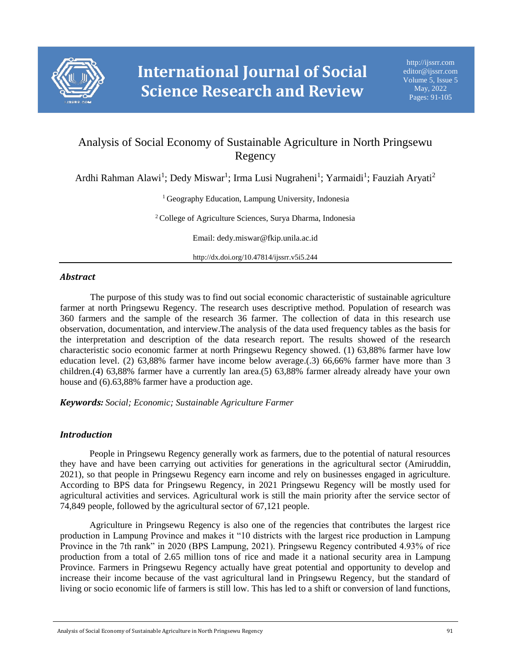

# Analysis of Social Economy of Sustainable Agriculture in North Pringsewu Regency

Ardhi Rahman Alawi<sup>1</sup>; Dedy Miswar<sup>1</sup>; Irma Lusi Nugraheni<sup>1</sup>; Yarmaidi<sup>1</sup>; Fauziah Aryati<sup>2</sup>

<sup>1</sup> Geography Education, Lampung University, Indonesia

<sup>2</sup> College of Agriculture Sciences, Surya Dharma, Indonesia

Email: dedy.miswar@fkip.unila.ac.id

http://dx.doi.org/10.47814/ijssrr.v5i5.244

# *Abstract*

The purpose of this study was to find out social economic characteristic of sustainable agriculture farmer at north Pringsewu Regency. The research uses descriptive method. Population of research was 360 farmers and the sample of the research 36 farmer. The collection of data in this research use observation, documentation, and interview.The analysis of the data used frequency tables as the basis for the interpretation and description of the data research report. The results showed of the research characteristic socio economic farmer at north Pringsewu Regency showed. (1) 63,88% farmer have low education level. (2) 63,88% farmer have income below average.(.3) 66,66% farmer have more than 3 children.(4) 63,88% farmer have a currently lan area.(5) 63,88% farmer already already have your own house and (6).63,88% farmer have a production age.

*Keywords: Social; Economic; Sustainable Agriculture Farmer*

# *Introduction*

People in Pringsewu Regency generally work as farmers, due to the potential of natural resources they have and have been carrying out activities for generations in the agricultural sector (Amiruddin, 2021), so that people in Pringsewu Regency earn income and rely on businesses engaged in agriculture. According to BPS data for Pringsewu Regency, in 2021 Pringsewu Regency will be mostly used for agricultural activities and services. Agricultural work is still the main priority after the service sector of 74,849 people, followed by the agricultural sector of 67,121 people.

Agriculture in Pringsewu Regency is also one of the regencies that contributes the largest rice production in Lampung Province and makes it "10 districts with the largest rice production in Lampung Province in the 7th rank" in 2020 (BPS Lampung, 2021). Pringsewu Regency contributed 4.93% of rice production from a total of 2.65 million tons of rice and made it a national security area in Lampung Province. Farmers in Pringsewu Regency actually have great potential and opportunity to develop and increase their income because of the vast agricultural land in Pringsewu Regency, but the standard of living or socio economic life of farmers is still low. This has led to a shift or conversion of land functions,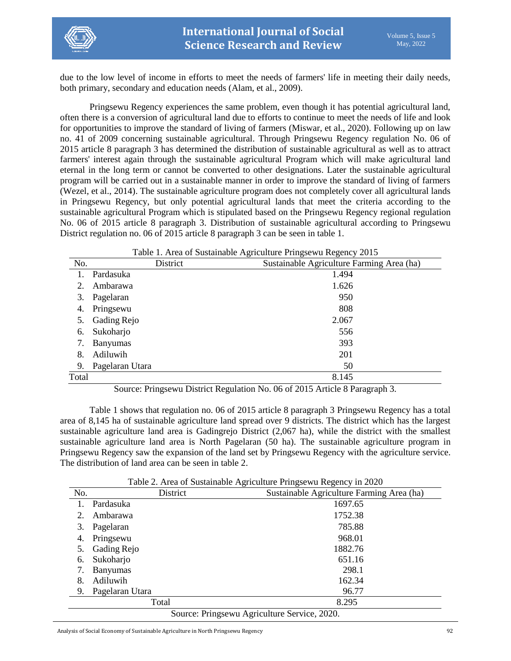

due to the low level of income in efforts to meet the needs of farmers' life in meeting their daily needs, both primary, secondary and education needs (Alam, et al., 2009).

Pringsewu Regency experiences the same problem, even though it has potential agricultural land, often there is a conversion of agricultural land due to efforts to continue to meet the needs of life and look for opportunities to improve the standard of living of farmers (Miswar, et al., 2020). Following up on law no. 41 of 2009 concerning sustainable agricultural. Through Pringsewu Regency regulation No. 06 of 2015 article 8 paragraph 3 has determined the distribution of sustainable agricultural as well as to attract farmers' interest again through the sustainable agricultural Program which will make agricultural land eternal in the long term or cannot be converted to other designations. Later the sustainable agricultural program will be carried out in a sustainable manner in order to improve the standard of living of farmers (Wezel, et al., 2014). The sustainable agriculture program does not completely cover all agricultural lands in Pringsewu Regency, but only potential agricultural lands that meet the criteria according to the sustainable agricultural Program which is stipulated based on the Pringsewu Regency regional regulation No. 06 of 2015 article 8 paragraph 3. Distribution of sustainable agricultural according to Pringsewu District regulation no. 06 of 2015 article 8 paragraph 3 can be seen in table 1.

|       | Table 1. Area of Sustainable Agriculture Pringsewu Regency 2015 |                                           |  |  |
|-------|-----------------------------------------------------------------|-------------------------------------------|--|--|
| No.   | District                                                        | Sustainable Agriculture Farming Area (ha) |  |  |
|       | Pardasuka                                                       | 1.494                                     |  |  |
| 2.    | Ambarawa                                                        | 1.626                                     |  |  |
| 3.    | Pagelaran                                                       | 950                                       |  |  |
| 4.    | Pringsewu                                                       | 808                                       |  |  |
| 5.    | Gading Rejo                                                     | 2.067                                     |  |  |
| 6.    | Sukoharjo                                                       | 556                                       |  |  |
| 7.    | <b>Banyumas</b>                                                 | 393                                       |  |  |
| 8.    | Adiluwih                                                        | 201                                       |  |  |
| 9.    | Pagelaran Utara                                                 | 50                                        |  |  |
| Total |                                                                 | 8.145                                     |  |  |

Table 1. Area of Sustainable Agriculture Pringsewu Regency 2015

Source: Pringsewu District Regulation No. 06 of 2015 Article 8 Paragraph 3.

Table 1 shows that regulation no. 06 of 2015 article 8 paragraph 3 Pringsewu Regency has a total area of 8,145 ha of sustainable agriculture land spread over 9 districts. The district which has the largest sustainable agriculture land area is Gadingrejo District (2,067 ha), while the district with the smallest sustainable agriculture land area is North Pagelaran (50 ha). The sustainable agriculture program in Pringsewu Regency saw the expansion of the land set by Pringsewu Regency with the agriculture service. The distribution of land area can be seen in table 2.

| No. | District                                     | Tuble 2. Their of Bustaniable Tigheunaic Fringscwa Regency in 2020<br>Sustainable Agriculture Farming Area (ha) |  |  |
|-----|----------------------------------------------|-----------------------------------------------------------------------------------------------------------------|--|--|
|     | Pardasuka                                    | 1697.65                                                                                                         |  |  |
| 2.  | Ambarawa                                     | 1752.38                                                                                                         |  |  |
| 3.  | Pagelaran                                    | 785.88                                                                                                          |  |  |
| 4.  | Pringsewu                                    | 968.01                                                                                                          |  |  |
| 5.  | Gading Rejo                                  | 1882.76                                                                                                         |  |  |
| 6.  | Sukoharjo                                    | 651.16                                                                                                          |  |  |
| 7.  | <b>Banyumas</b>                              | 298.1                                                                                                           |  |  |
| 8.  | Adiluwih                                     | 162.34                                                                                                          |  |  |
| 9.  | Pagelaran Utara                              | 96.77                                                                                                           |  |  |
|     | Total                                        | 8.295                                                                                                           |  |  |
|     | Source: Pringsewu Agriculture Service, 2020. |                                                                                                                 |  |  |

Table 2. Area of Sustainable Agriculture Pringsewu Regency in 2020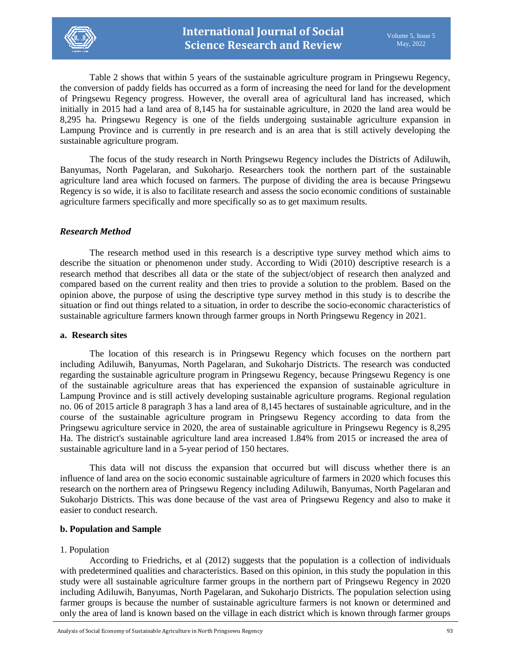

Table 2 shows that within 5 years of the sustainable agriculture program in Pringsewu Regency, the conversion of paddy fields has occurred as a form of increasing the need for land for the development of Pringsewu Regency progress. However, the overall area of agricultural land has increased, which initially in 2015 had a land area of 8,145 ha for sustainable agriculture, in 2020 the land area would be 8,295 ha. Pringsewu Regency is one of the fields undergoing sustainable agriculture expansion in Lampung Province and is currently in pre research and is an area that is still actively developing the sustainable agriculture program.

The focus of the study research in North Pringsewu Regency includes the Districts of Adiluwih, Banyumas, North Pagelaran, and Sukoharjo. Researchers took the northern part of the sustainable agriculture land area which focused on farmers. The purpose of dividing the area is because Pringsewu Regency is so wide, it is also to facilitate research and assess the socio economic conditions of sustainable agriculture farmers specifically and more specifically so as to get maximum results.

# *Research Method*

The research method used in this research is a descriptive type survey method which aims to describe the situation or phenomenon under study. According to Widi (2010) descriptive research is a research method that describes all data or the state of the subject/object of research then analyzed and compared based on the current reality and then tries to provide a solution to the problem. Based on the opinion above, the purpose of using the descriptive type survey method in this study is to describe the situation or find out things related to a situation, in order to describe the socio-economic characteristics of sustainable agriculture farmers known through farmer groups in North Pringsewu Regency in 2021.

### **a. Research sites**

The location of this research is in Pringsewu Regency which focuses on the northern part including Adiluwih, Banyumas, North Pagelaran, and Sukoharjo Districts. The research was conducted regarding the sustainable agriculture program in Pringsewu Regency, because Pringsewu Regency is one of the sustainable agriculture areas that has experienced the expansion of sustainable agriculture in Lampung Province and is still actively developing sustainable agriculture programs. Regional regulation no. 06 of 2015 article 8 paragraph 3 has a land area of 8,145 hectares of sustainable agriculture, and in the course of the sustainable agriculture program in Pringsewu Regency according to data from the Pringsewu agriculture service in 2020, the area of sustainable agriculture in Pringsewu Regency is 8,295 Ha. The district's sustainable agriculture land area increased 1.84% from 2015 or increased the area of sustainable agriculture land in a 5-year period of 150 hectares.

This data will not discuss the expansion that occurred but will discuss whether there is an influence of land area on the socio economic sustainable agriculture of farmers in 2020 which focuses this research on the northern area of Pringsewu Regency including Adiluwih, Banyumas, North Pagelaran and Sukoharjo Districts. This was done because of the vast area of Pringsewu Regency and also to make it easier to conduct research.

### **b. Population and Sample**

### 1. Population

According to Friedrichs, et al (2012) suggests that the population is a collection of individuals with predetermined qualities and characteristics. Based on this opinion, in this study the population in this study were all sustainable agriculture farmer groups in the northern part of Pringsewu Regency in 2020 including Adiluwih, Banyumas, North Pagelaran, and Sukoharjo Districts. The population selection using farmer groups is because the number of sustainable agriculture farmers is not known or determined and only the area of land is known based on the village in each district which is known through farmer groups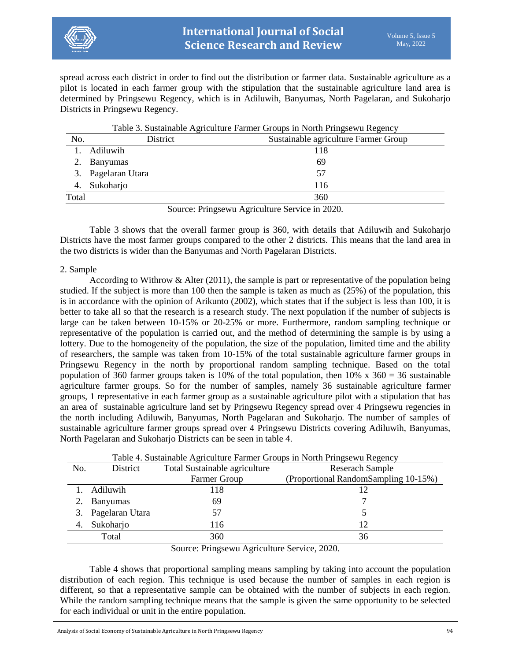

spread across each district in order to find out the distribution or farmer data. Sustainable agriculture as a pilot is located in each farmer group with the stipulation that the sustainable agriculture land area is determined by Pringsewu Regency, which is in Adiluwih, Banyumas, North Pagelaran, and Sukoharjo Districts in Pringsewu Regency.

|       | Table 3. Sustainable Agriculture Farmer Groups in North Pringsewu Regency |                                      |  |
|-------|---------------------------------------------------------------------------|--------------------------------------|--|
| No.   | District                                                                  | Sustainable agriculture Farmer Group |  |
|       | Adiluwih                                                                  | 118                                  |  |
|       | Banyumas                                                                  | 69                                   |  |
| 3.    | Pagelaran Utara                                                           | 57                                   |  |
| 4.    | Sukoharjo                                                                 | 116                                  |  |
| Total |                                                                           | 360                                  |  |
|       |                                                                           |                                      |  |

Source: Pringsewu Agriculture Service in 2020.

Table 3 shows that the overall farmer group is 360, with details that Adiluwih and Sukoharjo Districts have the most farmer groups compared to the other 2 districts. This means that the land area in the two districts is wider than the Banyumas and North Pagelaran Districts.

### 2. Sample

According to Withrow & Alter (2011), the sample is part or representative of the population being studied. If the subject is more than 100 then the sample is taken as much as (25%) of the population, this is in accordance with the opinion of Arikunto (2002), which states that if the subject is less than 100, it is better to take all so that the research is a research study. The next population if the number of subjects is large can be taken between 10-15% or 20-25% or more. Furthermore, random sampling technique or representative of the population is carried out, and the method of determining the sample is by using a lottery. Due to the homogeneity of the population, the size of the population, limited time and the ability of researchers, the sample was taken from 10-15% of the total sustainable agriculture farmer groups in Pringsewu Regency in the north by proportional random sampling technique. Based on the total population of 360 farmer groups taken is 10% of the total population, then  $10\%$  x  $360 = 36$  sustainable agriculture farmer groups. So for the number of samples, namely 36 sustainable agriculture farmer groups, 1 representative in each farmer group as a sustainable agriculture pilot with a stipulation that has an area of sustainable agriculture land set by Pringsewu Regency spread over 4 Pringsewu regencies in the north including Adiluwih, Banyumas, North Pagelaran and Sukoharjo. The number of samples of sustainable agriculture farmer groups spread over 4 Pringsewu Districts covering Adiluwih, Banyumas, North Pagelaran and Sukoharjo Districts can be seen in table 4.

|     | Table 4. Sustainable Agriculture Farmer Groups in North Pringsewu Regency                                                                                                                                                                                                                                                        |                               |                                      |  |  |
|-----|----------------------------------------------------------------------------------------------------------------------------------------------------------------------------------------------------------------------------------------------------------------------------------------------------------------------------------|-------------------------------|--------------------------------------|--|--|
| No. | District                                                                                                                                                                                                                                                                                                                         | Total Sustainable agriculture | <b>Reserach Sample</b>               |  |  |
|     |                                                                                                                                                                                                                                                                                                                                  | Farmer Group                  | (Proportional RandomSampling 10-15%) |  |  |
|     | Adiluwih                                                                                                                                                                                                                                                                                                                         | 118                           |                                      |  |  |
|     | <b>Banyumas</b>                                                                                                                                                                                                                                                                                                                  | 69                            |                                      |  |  |
|     | Pagelaran Utara                                                                                                                                                                                                                                                                                                                  | 57                            |                                      |  |  |
|     | Sukoharjo                                                                                                                                                                                                                                                                                                                        | 116                           | 12                                   |  |  |
|     | Total                                                                                                                                                                                                                                                                                                                            | 360                           | 36                                   |  |  |
|     | $\alpha$ $\mathbf{D}$ $\mathbf{A}$ $\mathbf{A}$ $\mathbf{A}$ $\mathbf{A}$ $\mathbf{A}$ $\mathbf{A}$ $\mathbf{A}$ $\mathbf{A}$ $\mathbf{A}$ $\mathbf{A}$ $\mathbf{A}$ $\mathbf{A}$ $\mathbf{A}$ $\mathbf{A}$ $\mathbf{A}$ $\mathbf{A}$ $\mathbf{A}$ $\mathbf{A}$ $\mathbf{A}$ $\mathbf{A}$ $\mathbf{A}$ $\mathbf{A}$ $\mathbf{A}$ |                               |                                      |  |  |

Source: Pringsewu Agriculture Service, 2020.

Table 4 shows that proportional sampling means sampling by taking into account the population distribution of each region. This technique is used because the number of samples in each region is different, so that a representative sample can be obtained with the number of subjects in each region. While the random sampling technique means that the sample is given the same opportunity to be selected for each individual or unit in the entire population.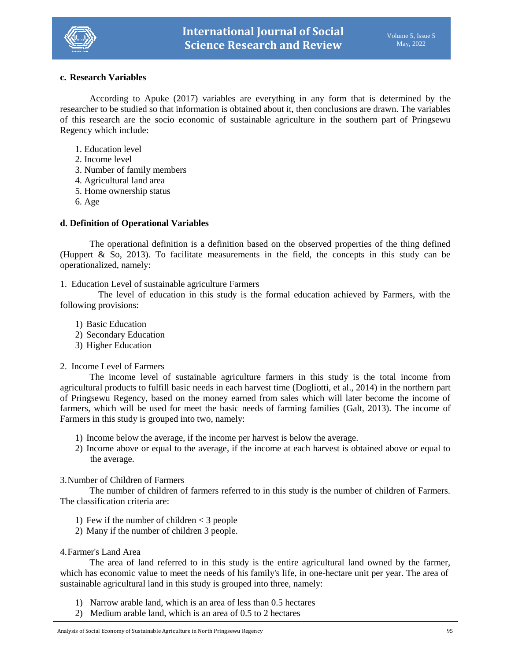

# **c. Research Variables**

According to Apuke (2017) variables are everything in any form that is determined by the researcher to be studied so that information is obtained about it, then conclusions are drawn. The variables of this research are the socio economic of sustainable agriculture in the southern part of Pringsewu Regency which include:

- 1. Education level
- 2. Income level
- 3. Number of family members
- 4. Agricultural land area
- 5. Home ownership status
- 6. Age

### **d. Definition of Operational Variables**

The operational definition is a definition based on the observed properties of the thing defined (Huppert & So, 2013). To facilitate measurements in the field, the concepts in this study can be operationalized, namely:

1. Education Level of sustainable agriculture Farmers

The level of education in this study is the formal education achieved by Farmers, with the following provisions:

- 1) Basic Education
- 2) Secondary Education
- 3) Higher Education
- 2. Income Level of Farmers

The income level of sustainable agriculture farmers in this study is the total income from agricultural products to fulfill basic needs in each harvest time (Dogliotti, et al., 2014) in the northern part of Pringsewu Regency, based on the money earned from sales which will later become the income of farmers, which will be used for meet the basic needs of farming families (Galt, 2013). The income of Farmers in this study is grouped into two, namely:

- 1) Income below the average, if the income per harvest is below the average.
- 2) Income above or equal to the average, if the income at each harvest is obtained above or equal to the average.

### 3.Number of Children of Farmers

The number of children of farmers referred to in this study is the number of children of Farmers. The classification criteria are:

- 1) Few if the number of children < 3 people
- 2) Many if the number of children 3 people.

### 4.Farmer's Land Area

The area of land referred to in this study is the entire agricultural land owned by the farmer, which has economic value to meet the needs of his family's life, in one-hectare unit per year. The area of sustainable agricultural land in this study is grouped into three, namely:

- 1) Narrow arable land, which is an area of less than 0.5 hectares
- 2) Medium arable land, which is an area of 0.5 to 2 hectares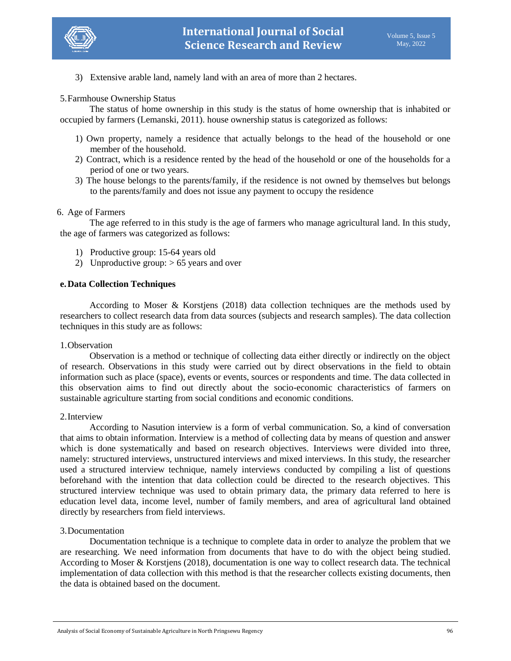

3) Extensive arable land, namely land with an area of more than 2 hectares.

### 5.Farmhouse Ownership Status

The status of home ownership in this study is the status of home ownership that is inhabited or occupied by farmers (Lemanski, 2011). house ownership status is categorized as follows:

- 1) Own property, namely a residence that actually belongs to the head of the household or one member of the household.
- 2) Contract, which is a residence rented by the head of the household or one of the households for a period of one or two years.
- 3) The house belongs to the parents/family, if the residence is not owned by themselves but belongs to the parents/family and does not issue any payment to occupy the residence

### 6. Age of Farmers

The age referred to in this study is the age of farmers who manage agricultural land. In this study, the age of farmers was categorized as follows:

- 1) Productive group: 15-64 years old
- 2) Unproductive group:  $> 65$  years and over

### **e.Data Collection Techniques**

According to Moser & Korstjens (2018) data collection techniques are the methods used by researchers to collect research data from data sources (subjects and research samples). The data collection techniques in this study are as follows:

### 1.Observation

Observation is a method or technique of collecting data either directly or indirectly on the object of research. Observations in this study were carried out by direct observations in the field to obtain information such as place (space), events or events, sources or respondents and time. The data collected in this observation aims to find out directly about the socio-economic characteristics of farmers on sustainable agriculture starting from social conditions and economic conditions.

#### 2.Interview

According to Nasution interview is a form of verbal communication. So, a kind of conversation that aims to obtain information. Interview is a method of collecting data by means of question and answer which is done systematically and based on research objectives. Interviews were divided into three, namely: structured interviews, unstructured interviews and mixed interviews. In this study, the researcher used a structured interview technique, namely interviews conducted by compiling a list of questions beforehand with the intention that data collection could be directed to the research objectives. This structured interview technique was used to obtain primary data, the primary data referred to here is education level data, income level, number of family members, and area of agricultural land obtained directly by researchers from field interviews.

### 3.Documentation

Documentation technique is a technique to complete data in order to analyze the problem that we are researching. We need information from documents that have to do with the object being studied. According to Moser & Korstjens (2018), documentation is one way to collect research data. The technical implementation of data collection with this method is that the researcher collects existing documents, then the data is obtained based on the document.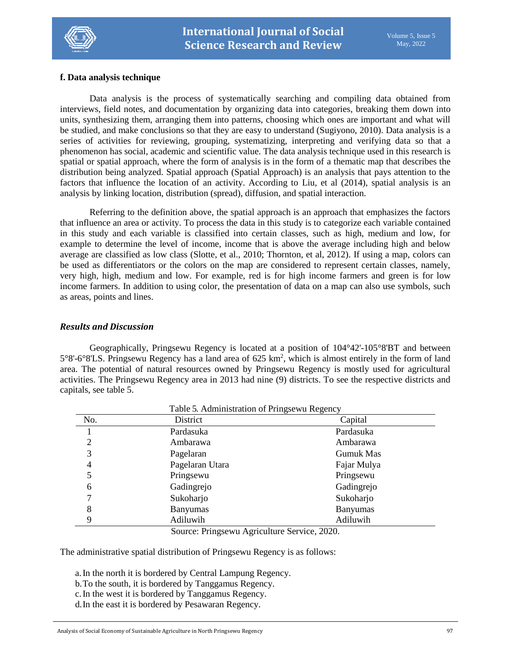

# **f. Data analysis technique**

Data analysis is the process of systematically searching and compiling data obtained from interviews, field notes, and documentation by organizing data into categories, breaking them down into units, synthesizing them, arranging them into patterns, choosing which ones are important and what will be studied, and make conclusions so that they are easy to understand (Sugiyono, 2010). Data analysis is a series of activities for reviewing, grouping, systematizing, interpreting and verifying data so that a phenomenon has social, academic and scientific value. The data analysis technique used in this research is spatial or spatial approach, where the form of analysis is in the form of a thematic map that describes the distribution being analyzed. Spatial approach (Spatial Approach) is an analysis that pays attention to the factors that influence the location of an activity. According to Liu, et al (2014), spatial analysis is an analysis by linking location, distribution (spread), diffusion, and spatial interaction.

Referring to the definition above, the spatial approach is an approach that emphasizes the factors that influence an area or activity. To process the data in this study is to categorize each variable contained in this study and each variable is classified into certain classes, such as high, medium and low, for example to determine the level of income, income that is above the average including high and below average are classified as low class (Slotte, et al., 2010; Thornton, et al, 2012). If using a map, colors can be used as differentiators or the colors on the map are considered to represent certain classes, namely, very high, high, medium and low. For example, red is for high income farmers and green is for low income farmers. In addition to using color, the presentation of data on a map can also use symbols, such as areas, points and lines.

### *Results and Discussion*

Geographically, Pringsewu Regency is located at a position of 104°42'-105°8'BT and between  $5^{\circ}8'$ -6°8'LS. Pringsewu Regency has a land area of 625 km<sup>2</sup>, which is almost entirely in the form of land area. The potential of natural resources owned by Pringsewu Regency is mostly used for agricultural activities. The Pringsewu Regency area in 2013 had nine (9) districts. To see the respective districts and capitals, see table 5.

|     | I able 5. Administration of Pringsewu Regency |                  |
|-----|-----------------------------------------------|------------------|
| No. | District                                      | Capital          |
|     | Pardasuka                                     | Pardasuka        |
| 2   | Ambarawa                                      | Ambarawa         |
| 3   | Pagelaran                                     | <b>Gumuk Mas</b> |
| 4   | Pagelaran Utara                               | Fajar Mulya      |
| 5   | Pringsewu                                     | Pringsewu        |
| 6   | Gadingrejo                                    | Gadingrejo       |
| 7   | Sukoharjo                                     | Sukoharjo        |
| 8   | <b>Banyumas</b>                               | <b>Banyumas</b>  |
| 9   | Adiluwih                                      | Adiluwih         |

# Table 5. Administration of Pringsewu Regency

Source: Pringsewu Agriculture Service, 2020.

The administrative spatial distribution of Pringsewu Regency is as follows:

a.In the north it is bordered by Central Lampung Regency.

- b.To the south, it is bordered by Tanggamus Regency.
- c.In the west it is bordered by Tanggamus Regency.
- d.In the east it is bordered by Pesawaran Regency.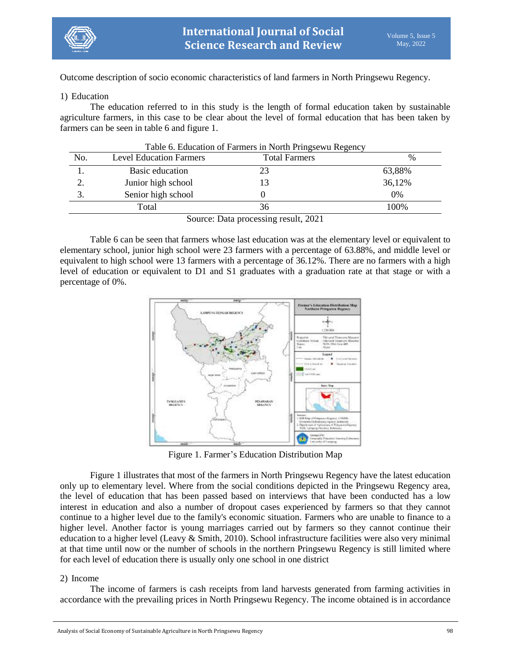

Outcome description of socio economic characteristics of land farmers in North Pringsewu Regency.

# 1) Education

The education referred to in this study is the length of formal education taken by sustainable agriculture farmers, in this case to be clear about the level of formal education that has been taken by farmers can be seen in table 6 and figure 1.

| No. | <b>Level Education Farmers</b> | <b>Total Farmers</b> | $\frac{0}{0}$ |
|-----|--------------------------------|----------------------|---------------|
|     | Basic education                |                      | 63,88%        |
|     | Junior high school             |                      | 36,12%        |
| .,  | Senior high school             |                      | 0%            |
|     | Total                          | 36                   | 100%          |
|     |                                | 0.001                |               |

Table 6. Education of Farmers in North Pringsewu Regency

Source: Data processing result, 2021

Table 6 can be seen that farmers whose last education was at the elementary level or equivalent to elementary school, junior high school were 23 farmers with a percentage of 63.88%, and middle level or equivalent to high school were 13 farmers with a percentage of 36.12%. There are no farmers with a high level of education or equivalent to D1 and S1 graduates with a graduation rate at that stage or with a percentage of 0%.



Figure 1. Farmer's Education Distribution Map

Figure 1 illustrates that most of the farmers in North Pringsewu Regency have the latest education only up to elementary level. Where from the social conditions depicted in the Pringsewu Regency area, the level of education that has been passed based on interviews that have been conducted has a low interest in education and also a number of dropout cases experienced by farmers so that they cannot continue to a higher level due to the family's economic situation. Farmers who are unable to finance to a higher level. Another factor is young marriages carried out by farmers so they cannot continue their education to a higher level (Leavy & Smith, 2010). School infrastructure facilities were also very minimal at that time until now or the number of schools in the northern Pringsewu Regency is still limited where for each level of education there is usually only one school in one district

# 2) Income

The income of farmers is cash receipts from land harvests generated from farming activities in accordance with the prevailing prices in North Pringsewu Regency. The income obtained is in accordance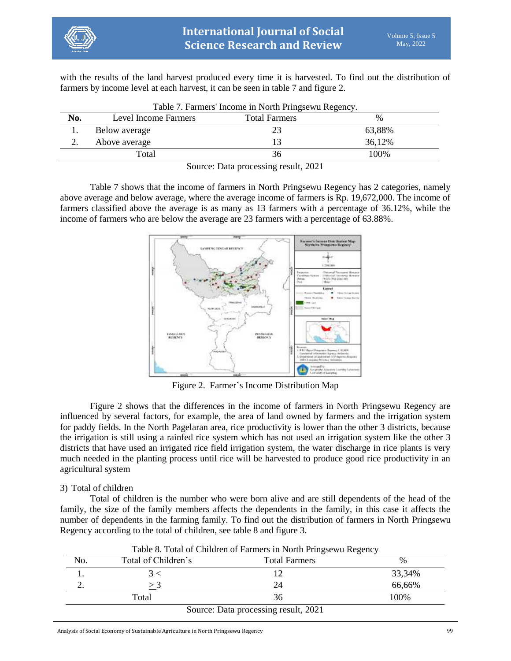

with the results of the land harvest produced every time it is harvested. To find out the distribution of farmers by income level at each harvest, it can be seen in table 7 and figure 2.

| No. | Level Income Farmers | <b>Total Farmers</b> | $\%$   |
|-----|----------------------|----------------------|--------|
|     | Below average        |                      | 63,88% |
|     | Above average        |                      | 36,12% |
|     | Total                | 36                   | 100%   |

Table 7. Farmers' Income in North Pringsewu Regency.

Source: Data processing result, 2021

Table 7 shows that the income of farmers in North Pringsewu Regency has 2 categories, namely above average and below average, where the average income of farmers is Rp. 19,672,000. The income of farmers classified above the average is as many as 13 farmers with a percentage of 36.12%, while the income of farmers who are below the average are 23 farmers with a percentage of 63.88%.



Figure 2. Farmer's Income Distribution Map

Figure 2 shows that the differences in the income of farmers in North Pringsewu Regency are influenced by several factors, for example, the area of land owned by farmers and the irrigation system for paddy fields. In the North Pagelaran area, rice productivity is lower than the other 3 districts, because the irrigation is still using a rainfed rice system which has not used an irrigation system like the other 3 districts that have used an irrigated rice field irrigation system, the water discharge in rice plants is very much needed in the planting process until rice will be harvested to produce good rice productivity in an agricultural system

# 3) Total of children

Total of children is the number who were born alive and are still dependents of the head of the family, the size of the family members affects the dependents in the family, in this case it affects the number of dependents in the farming family. To find out the distribution of farmers in North Pringsewu Regency according to the total of children, see table 8 and figure 3.

|       |    | 33,34% |
|-------|----|--------|
|       | 24 | 66,66% |
| Total | 36 | 100%   |

Table 8. Total of Children of Farmers in North Pringsewu Regency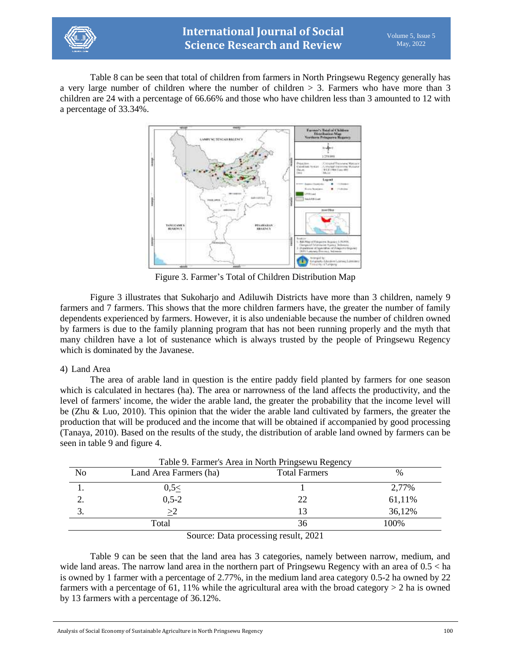

Table 8 can be seen that total of children from farmers in North Pringsewu Regency generally has a very large number of children where the number of children > 3. Farmers who have more than 3 children are 24 with a percentage of 66.66% and those who have children less than 3 amounted to 12 with a percentage of 33.34%.



Figure 3. Farmer's Total of Children Distribution Map

Figure 3 illustrates that Sukoharjo and Adiluwih Districts have more than 3 children, namely 9 farmers and 7 farmers. This shows that the more children farmers have, the greater the number of family dependents experienced by farmers. However, it is also undeniable because the number of children owned by farmers is due to the family planning program that has not been running properly and the myth that many children have a lot of sustenance which is always trusted by the people of Pringsewu Regency which is dominated by the Javanese.

# 4) Land Area

The area of arable land in question is the entire paddy field planted by farmers for one season which is calculated in hectares (ha). The area or narrowness of the land affects the productivity, and the level of farmers' income, the wider the arable land, the greater the probability that the income level will be (Zhu & Luo, 2010). This opinion that the wider the arable land cultivated by farmers, the greater the production that will be produced and the income that will be obtained if accompanied by good processing (Tanaya, 2010). Based on the results of the study, the distribution of arable land owned by farmers can be seen in table 9 and figure 4.

| Table 9. Farmer's Area in North Pringsewu Regency |                         |                             |        |  |
|---------------------------------------------------|-------------------------|-----------------------------|--------|--|
| No                                                | Land Area Farmers (ha)  | <b>Total Farmers</b>        | $\%$   |  |
|                                                   | $0,5 \leq$              |                             | 2,77%  |  |
|                                                   | $0,5-2$                 | 22                          | 61,11% |  |
|                                                   | >2                      | 13                          | 36,12% |  |
|                                                   | Total                   | 36                          | 100\%  |  |
|                                                   | $\sim$<br>$\sim$ $\sim$ | $\sim$ $\sim$ $\sim$ $\sim$ |        |  |

Source: Data processing result, 2021

Table 9 can be seen that the land area has 3 categories, namely between narrow, medium, and wide land areas. The narrow land area in the northern part of Pringsewu Regency with an area of 0.5 < ha is owned by 1 farmer with a percentage of 2.77%, in the medium land area category 0.5-2 ha owned by 22 farmers with a percentage of 61, 11% while the agricultural area with the broad category  $> 2$  ha is owned by 13 farmers with a percentage of 36.12%.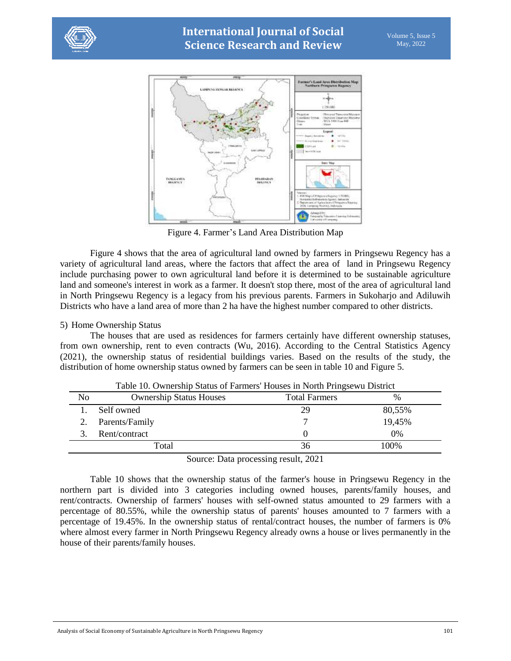



Figure 4. Farmer's Land Area Distribution Map

Figure 4 shows that the area of agricultural land owned by farmers in Pringsewu Regency has a variety of agricultural land areas, where the factors that affect the area of land in Pringsewu Regency include purchasing power to own agricultural land before it is determined to be sustainable agriculture land and someone's interest in work as a farmer. It doesn't stop there, most of the area of agricultural land in North Pringsewu Regency is a legacy from his previous parents. Farmers in Sukoharjo and Adiluwih Districts who have a land area of more than 2 ha have the highest number compared to other districts.

# 5) Home Ownership Status

The houses that are used as residences for farmers certainly have different ownership statuses, from own ownership, rent to even contracts (Wu, 2016). According to the Central Statistics Agency (2021), the ownership status of residential buildings varies. Based on the results of the study, the distribution of home ownership status owned by farmers can be seen in table 10 and Figure 5.

|                |                                | Table 10. Ownership Status of Farmers' Houses in North Pringsewu District |        |  |
|----------------|--------------------------------|---------------------------------------------------------------------------|--------|--|
| N <sub>0</sub> | <b>Ownership Status Houses</b> | <b>Total Farmers</b>                                                      | $\%$   |  |
|                | Self owned                     | 29                                                                        | 80,55% |  |
|                | Parents/Family                 |                                                                           | 19,45% |  |
|                | Rent/contract                  |                                                                           | 0%     |  |
|                | Total                          | 36                                                                        | 100%   |  |
|                | $\sim$<br>$\mathbf{r}$         | 1.0001                                                                    |        |  |

Source: Data processing result, 2021

Table 10 shows that the ownership status of the farmer's house in Pringsewu Regency in the northern part is divided into 3 categories including owned houses, parents/family houses, and rent/contracts. Ownership of farmers' houses with self-owned status amounted to 29 farmers with a percentage of 80.55%, while the ownership status of parents' houses amounted to 7 farmers with a percentage of 19.45%. In the ownership status of rental/contract houses, the number of farmers is 0% where almost every farmer in North Pringsewu Regency already owns a house or lives permanently in the house of their parents/family houses.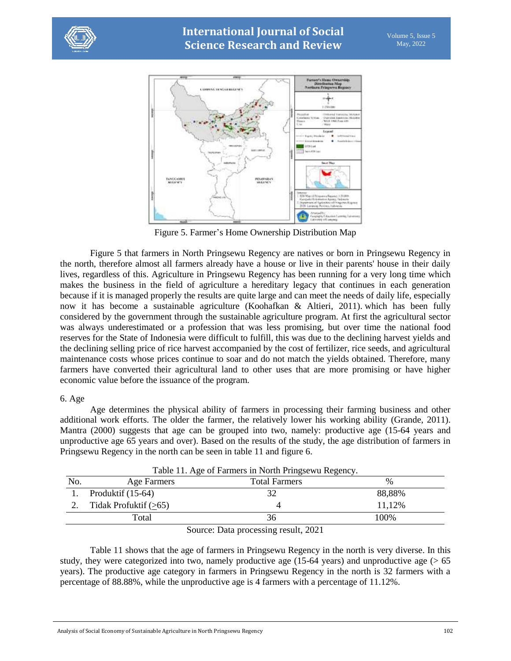



Figure 5. Farmer's Home Ownership Distribution Map

Figure 5 that farmers in North Pringsewu Regency are natives or born in Pringsewu Regency in the north, therefore almost all farmers already have a house or live in their parents' house in their daily lives, regardless of this. Agriculture in Pringsewu Regency has been running for a very long time which makes the business in the field of agriculture a hereditary legacy that continues in each generation because if it is managed properly the results are quite large and can meet the needs of daily life, especially now it has become a sustainable agriculture (Koohafkan & Altieri, 2011). which has been fully considered by the government through the sustainable agriculture program. At first the agricultural sector was always underestimated or a profession that was less promising, but over time the national food reserves for the State of Indonesia were difficult to fulfill, this was due to the declining harvest yields and the declining selling price of rice harvest accompanied by the cost of fertilizer, rice seeds, and agricultural maintenance costs whose prices continue to soar and do not match the yields obtained. Therefore, many farmers have converted their agricultural land to other uses that are more promising or have higher economic value before the issuance of the program.

# 6. Age

Age determines the physical ability of farmers in processing their farming business and other additional work efforts. The older the farmer, the relatively lower his working ability (Grande, 2011). Mantra (2000) suggests that age can be grouped into two, namely: productive age (15-64 years and unproductive age 65 years and over). Based on the results of the study, the age distribution of farmers in Pringsewu Regency in the north can be seen in table 11 and figure 6.

| No. | Age Farmers             | <b>Total Farmers</b>               | $\frac{0}{0}$ |
|-----|-------------------------|------------------------------------|---------------|
|     | Produktif $(15-64)$     | 32                                 | 88,88%        |
|     | Tidak Profuktif $(>65)$ |                                    | 11,12%        |
|     | Total                   | 36                                 | 100%          |
|     |                         | 1.0001<br>$\sim$<br>$\mathbf{r}$ . |               |

Table 11. Age of Farmers in North Pringsewu Regency.

Source: Data processing result, 2021

Table 11 shows that the age of farmers in Pringsewu Regency in the north is very diverse. In this study, they were categorized into two, namely productive age  $(15-64 \text{ years})$  and unproductive age ( $> 65$ ) years). The productive age category in farmers in Pringsewu Regency in the north is 32 farmers with a percentage of 88.88%, while the unproductive age is 4 farmers with a percentage of 11.12%.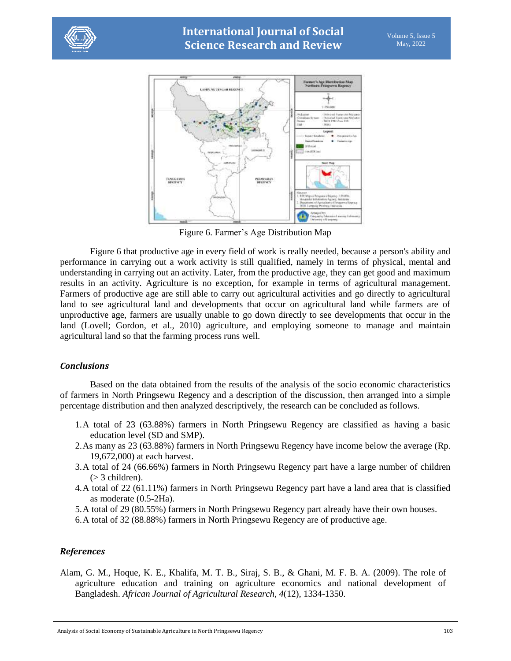



Figure 6. Farmer's Age Distribution Map

Figure 6 that productive age in every field of work is really needed, because a person's ability and performance in carrying out a work activity is still qualified, namely in terms of physical, mental and understanding in carrying out an activity. Later, from the productive age, they can get good and maximum results in an activity. Agriculture is no exception, for example in terms of agricultural management. Farmers of productive age are still able to carry out agricultural activities and go directly to agricultural land to see agricultural land and developments that occur on agricultural land while farmers are of unproductive age, farmers are usually unable to go down directly to see developments that occur in the land (Lovell; Gordon, et al., 2010) agriculture, and employing someone to manage and maintain agricultural land so that the farming process runs well.

# *Conclusions*

Based on the data obtained from the results of the analysis of the socio economic characteristics of farmers in North Pringsewu Regency and a description of the discussion, then arranged into a simple percentage distribution and then analyzed descriptively, the research can be concluded as follows.

- 1.A total of 23 (63.88%) farmers in North Pringsewu Regency are classified as having a basic education level (SD and SMP).
- 2.As many as 23 (63.88%) farmers in North Pringsewu Regency have income below the average (Rp. 19,672,000) at each harvest.
- 3.A total of 24 (66.66%) farmers in North Pringsewu Regency part have a large number of children (> 3 children).
- 4.A total of 22 (61.11%) farmers in North Pringsewu Regency part have a land area that is classified as moderate (0.5-2Ha).
- 5.A total of 29 (80.55%) farmers in North Pringsewu Regency part already have their own houses.
- 6.A total of 32 (88.88%) farmers in North Pringsewu Regency are of productive age.

# *References*

Alam, G. M., Hoque, K. E., Khalifa, M. T. B., Siraj, S. B., & Ghani, M. F. B. A. (2009). The role of agriculture education and training on agriculture economics and national development of Bangladesh. *African Journal of Agricultural Research*, *4*(12), 1334-1350.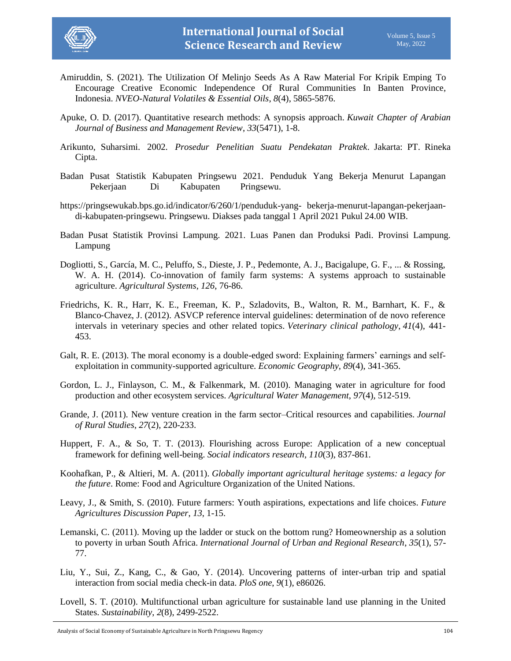

- Amiruddin, S. (2021). The Utilization Of Melinjo Seeds As A Raw Material For Kripik Emping To Encourage Creative Economic Independence Of Rural Communities In Banten Province, Indonesia. *NVEO-Natural Volatiles & Essential Oils*, *8*(4), 5865-5876.
- Apuke, O. D. (2017). Quantitative research methods: A synopsis approach. *Kuwait Chapter of Arabian Journal of Business and Management Review*, *33*(5471), 1-8.
- Arikunto, Suharsimi. 2002. *Prosedur Penelitian Suatu Pendekatan Praktek*. Jakarta: PT. Rineka Cipta.
- Badan Pusat Statistik Kabupaten Pringsewu 2021. Penduduk Yang Bekerja Menurut Lapangan Pekerjaan Di Kabupaten Pringsewu.
- https://pringsewukab.bps.go.id/indicator/6/260/1/penduduk-yang- bekerja-menurut-lapangan-pekerjaandi-kabupaten-pringsewu. Pringsewu. Diakses pada tanggal 1 April 2021 Pukul 24.00 WIB.
- Badan Pusat Statistik Provinsi Lampung. 2021. Luas Panen dan Produksi Padi. Provinsi Lampung. Lampung
- Dogliotti, S., García, M. C., Peluffo, S., Dieste, J. P., Pedemonte, A. J., Bacigalupe, G. F., ... & Rossing, W. A. H. (2014). Co-innovation of family farm systems: A systems approach to sustainable agriculture. *Agricultural Systems*, *126*, 76-86.
- Friedrichs, K. R., Harr, K. E., Freeman, K. P., Szladovits, B., Walton, R. M., Barnhart, K. F., & Blanco‐Chavez, J. (2012). ASVCP reference interval guidelines: determination of de novo reference intervals in veterinary species and other related topics. *Veterinary clinical pathology*, *41*(4), 441- 453.
- Galt, R. E. (2013). The moral economy is a double-edged sword: Explaining farmers' earnings and selfexploitation in community-supported agriculture. *Economic Geography*, *89*(4), 341-365.
- Gordon, L. J., Finlayson, C. M., & Falkenmark, M. (2010). Managing water in agriculture for food production and other ecosystem services. *Agricultural Water Management*, *97*(4), 512-519.
- Grande, J. (2011). New venture creation in the farm sector–Critical resources and capabilities. *Journal of Rural Studies*, *27*(2), 220-233.
- Huppert, F. A., & So, T. T. (2013). Flourishing across Europe: Application of a new conceptual framework for defining well-being. *Social indicators research*, *110*(3), 837-861.
- Koohafkan, P., & Altieri, M. A. (2011). *Globally important agricultural heritage systems: a legacy for the future*. Rome: Food and Agriculture Organization of the United Nations.
- Leavy, J., & Smith, S. (2010). Future farmers: Youth aspirations, expectations and life choices. *Future Agricultures Discussion Paper*, *13*, 1-15.
- Lemanski, C. (2011). Moving up the ladder or stuck on the bottom rung? Homeownership as a solution to poverty in urban South Africa. *International Journal of Urban and Regional Research*, *35*(1), 57- 77.
- Liu, Y., Sui, Z., Kang, C., & Gao, Y. (2014). Uncovering patterns of inter-urban trip and spatial interaction from social media check-in data. *PloS one*, *9*(1), e86026.
- Lovell, S. T. (2010). Multifunctional urban agriculture for sustainable land use planning in the United States. *Sustainability*, *2*(8), 2499-2522.